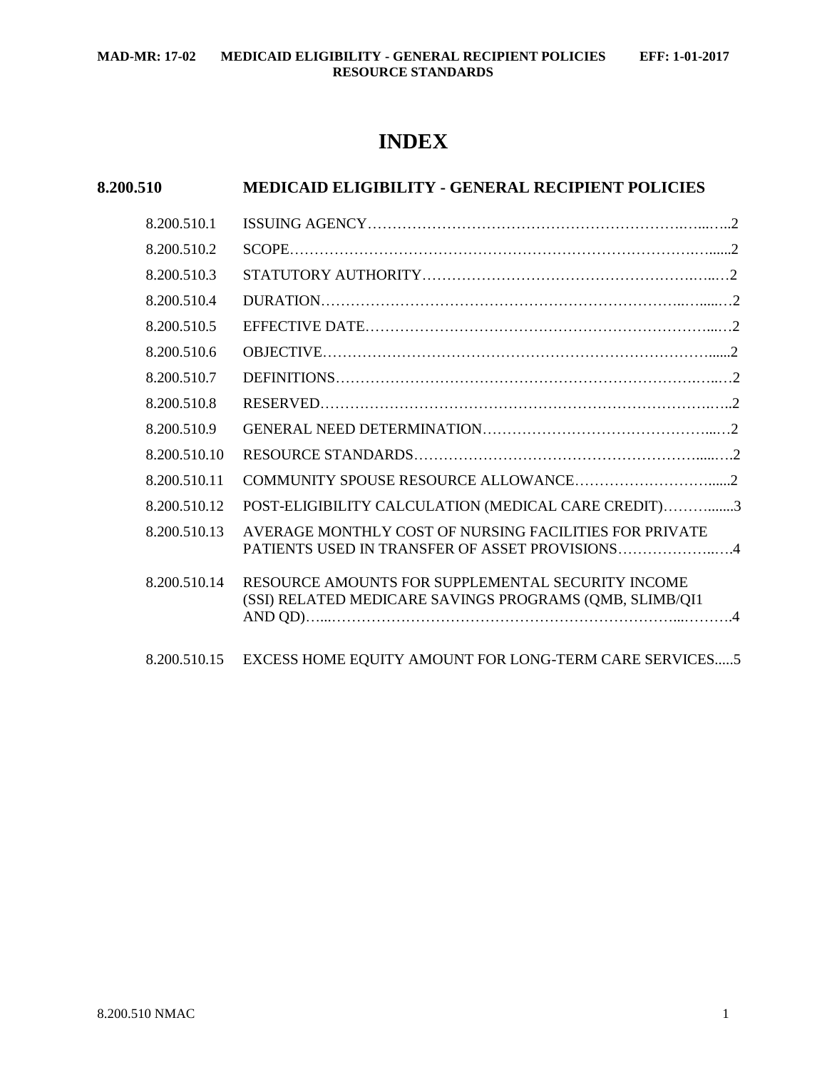## **INDEX**

# **8.200.510 MEDICAID ELIGIBILITY - GENERAL RECIPIENT POLICIES**

| 8.200.510.1  |                                                                                                              |  |
|--------------|--------------------------------------------------------------------------------------------------------------|--|
| 8.200.510.2  |                                                                                                              |  |
| 8.200.510.3  |                                                                                                              |  |
| 8.200.510.4  |                                                                                                              |  |
| 8.200.510.5  |                                                                                                              |  |
| 8.200.510.6  |                                                                                                              |  |
| 8.200.510.7  |                                                                                                              |  |
| 8.200.510.8  |                                                                                                              |  |
| 8.200.510.9  |                                                                                                              |  |
| 8.200.510.10 |                                                                                                              |  |
| 8.200.510.11 |                                                                                                              |  |
| 8.200.510.12 | POST-ELIGIBILITY CALCULATION (MEDICAL CARE CREDIT)3                                                          |  |
| 8.200.510.13 | AVERAGE MONTHLY COST OF NURSING FACILITIES FOR PRIVATE<br>PATIENTS USED IN TRANSFER OF ASSET PROVISIONS4     |  |
| 8.200.510.14 | RESOURCE AMOUNTS FOR SUPPLEMENTAL SECURITY INCOME<br>(SSI) RELATED MEDICARE SAVINGS PROGRAMS (QMB, SLIMB/QI1 |  |
| 8.200.510.15 | EXCESS HOME EQUITY AMOUNT FOR LONG-TERM CARE SERVICES5                                                       |  |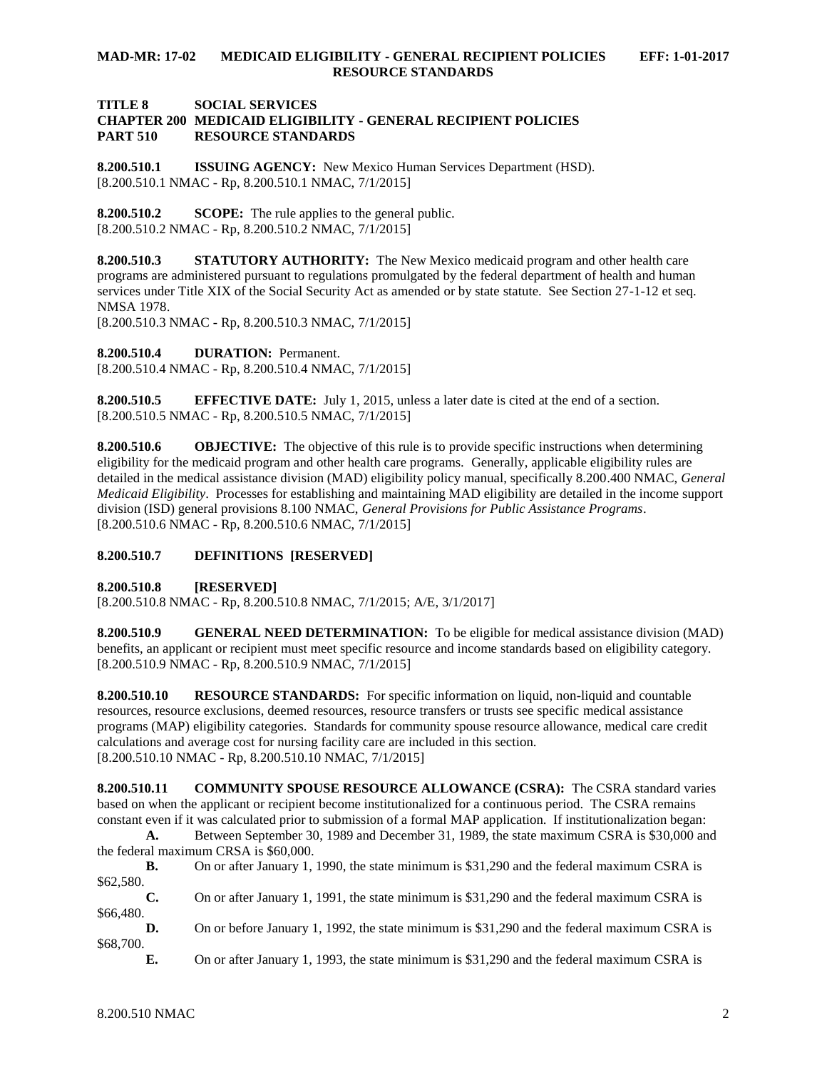#### **TITLE 8 SOCIAL SERVICES CHAPTER 200 MEDICAID ELIGIBILITY - GENERAL RECIPIENT POLICIES PART 510 RESOURCE STANDARDS**

<span id="page-1-0"></span>**8.200.510.1 ISSUING AGENCY:** New Mexico Human Services Department (HSD). [8.200.510.1 NMAC - Rp, 8.200.510.1 NMAC, 7/1/2015]

<span id="page-1-1"></span>**8.200.510.2 SCOPE:** The rule applies to the general public. [8.200.510.2 NMAC - Rp, 8.200.510.2 NMAC, 7/1/2015]

<span id="page-1-2"></span>**8.200.510.3 STATUTORY AUTHORITY:** The New Mexico medicaid program and other health care programs are administered pursuant to regulations promulgated by the federal department of health and human services under Title XIX of the Social Security Act as amended or by state statute. See Section 27-1-12 et seq. NMSA 1978.

[8.200.510.3 NMAC - Rp, 8.200.510.3 NMAC, 7/1/2015]

<span id="page-1-3"></span>**8.200.510.4 DURATION:** Permanent.

[8.200.510.4 NMAC - Rp, 8.200.510.4 NMAC, 7/1/2015]

<span id="page-1-4"></span>**8.200.510.5 EFFECTIVE DATE:** July 1, 2015, unless a later date is cited at the end of a section. [8.200.510.5 NMAC - Rp, 8.200.510.5 NMAC, 7/1/2015]

<span id="page-1-5"></span>**8.200.510.6 OBJECTIVE:** The objective of this rule is to provide specific instructions when determining eligibility for the medicaid program and other health care programs. Generally, applicable eligibility rules are detailed in the medical assistance division (MAD) eligibility policy manual, specifically 8.200.400 NMAC, *General Medicaid Eligibility*. Processes for establishing and maintaining MAD eligibility are detailed in the income support division (ISD) general provisions 8.100 NMAC, *General Provisions for Public Assistance Programs*. [8.200.510.6 NMAC - Rp, 8.200.510.6 NMAC, 7/1/2015]

#### <span id="page-1-6"></span>**8.200.510.7 DEFINITIONS [RESERVED]**

<span id="page-1-7"></span>**8.200.510.8 [RESERVED]**

[8.200.510.8 NMAC - Rp, 8.200.510.8 NMAC, 7/1/2015; A/E, 3/1/2017]

<span id="page-1-8"></span>**8.200.510.9 GENERAL NEED DETERMINATION:** To be eligible for medical assistance division (MAD) benefits, an applicant or recipient must meet specific resource and income standards based on eligibility category. [8.200.510.9 NMAC - Rp, 8.200.510.9 NMAC, 7/1/2015]

<span id="page-1-9"></span>**8.200.510.10 RESOURCE STANDARDS:** For specific information on liquid, non-liquid and countable resources, resource exclusions, deemed resources, resource transfers or trusts see specific medical assistance programs (MAP) eligibility categories. Standards for community spouse resource allowance, medical care credit calculations and average cost for nursing facility care are included in this section. [8.200.510.10 NMAC - Rp, 8.200.510.10 NMAC, 7/1/2015]

<span id="page-1-10"></span>**8.200.510.11 COMMUNITY SPOUSE RESOURCE ALLOWANCE (CSRA):** The CSRA standard varies based on when the applicant or recipient become institutionalized for a continuous period. The CSRA remains constant even if it was calculated prior to submission of a formal MAP application. If institutionalization began:

**A.** Between September 30, 1989 and December 31, 1989, the state maximum CSRA is \$30,000 and the federal maximum CRSA is \$60,000.

**B.** On or after January 1, 1990, the state minimum is \$31,290 and the federal maximum CSRA is \$62,580.

**C.** On or after January 1, 1991, the state minimum is \$31,290 and the federal maximum CSRA is \$66,480.

**D.** On or before January 1, 1992, the state minimum is \$31,290 and the federal maximum CSRA is \$68,700.

**E.** On or after January 1, 1993, the state minimum is \$31,290 and the federal maximum CSRA is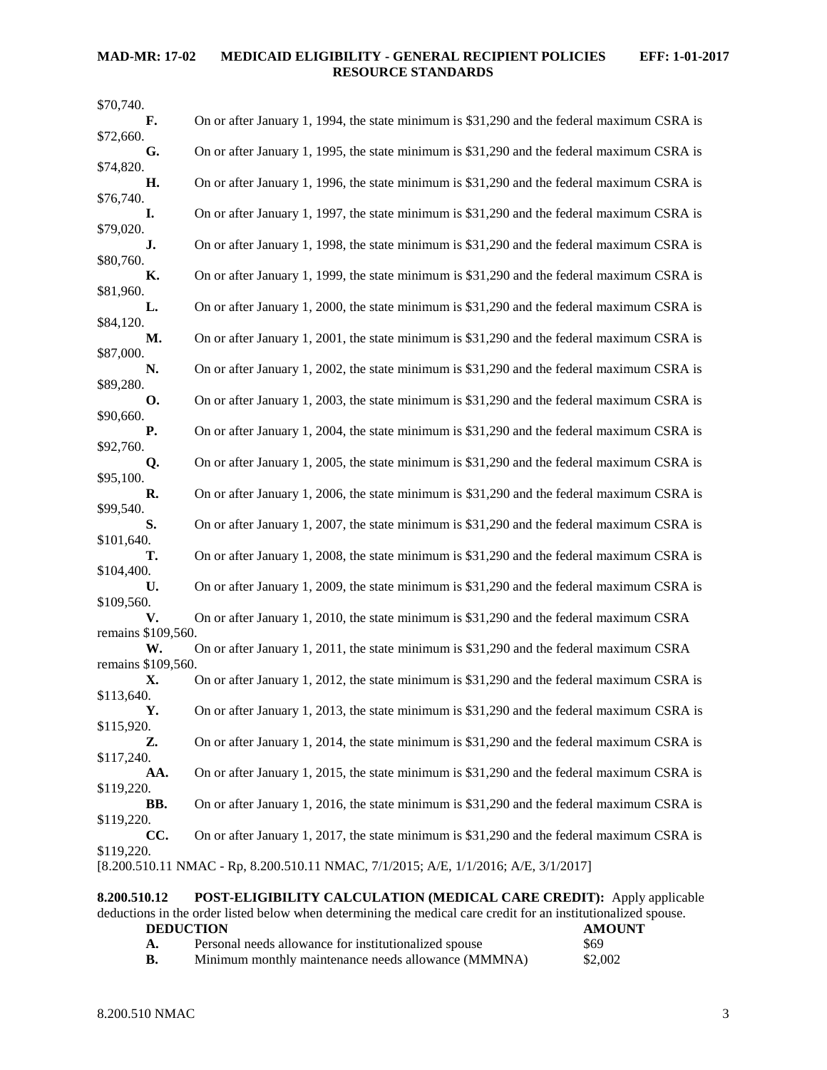| \$70,740.                                                                           |                                                                                            |  |  |  |
|-------------------------------------------------------------------------------------|--------------------------------------------------------------------------------------------|--|--|--|
| F.                                                                                  | On or after January 1, 1994, the state minimum is \$31,290 and the federal maximum CSRA is |  |  |  |
| \$72,660.<br>G.                                                                     | On or after January 1, 1995, the state minimum is \$31,290 and the federal maximum CSRA is |  |  |  |
| \$74,820.                                                                           |                                                                                            |  |  |  |
| Η.                                                                                  | On or after January 1, 1996, the state minimum is \$31,290 and the federal maximum CSRA is |  |  |  |
| \$76,740.<br>I.                                                                     | On or after January 1, 1997, the state minimum is \$31,290 and the federal maximum CSRA is |  |  |  |
| \$79,020.                                                                           |                                                                                            |  |  |  |
| J.                                                                                  | On or after January 1, 1998, the state minimum is \$31,290 and the federal maximum CSRA is |  |  |  |
| \$80,760.<br>К.                                                                     | On or after January 1, 1999, the state minimum is \$31,290 and the federal maximum CSRA is |  |  |  |
| \$81,960.                                                                           |                                                                                            |  |  |  |
| L.                                                                                  | On or after January 1, 2000, the state minimum is \$31,290 and the federal maximum CSRA is |  |  |  |
| \$84,120.<br>М.                                                                     | On or after January 1, 2001, the state minimum is \$31,290 and the federal maximum CSRA is |  |  |  |
| \$87,000.                                                                           |                                                                                            |  |  |  |
| N.                                                                                  | On or after January 1, 2002, the state minimum is \$31,290 and the federal maximum CSRA is |  |  |  |
| \$89,280.<br><b>O.</b>                                                              | On or after January 1, 2003, the state minimum is \$31,290 and the federal maximum CSRA is |  |  |  |
| \$90,660.                                                                           |                                                                                            |  |  |  |
| Р.                                                                                  | On or after January 1, 2004, the state minimum is \$31,290 and the federal maximum CSRA is |  |  |  |
| \$92,760.<br>Q.                                                                     | On or after January 1, 2005, the state minimum is \$31,290 and the federal maximum CSRA is |  |  |  |
| \$95,100.                                                                           |                                                                                            |  |  |  |
| R.<br>\$99,540.                                                                     | On or after January 1, 2006, the state minimum is \$31,290 and the federal maximum CSRA is |  |  |  |
| S.                                                                                  | On or after January 1, 2007, the state minimum is \$31,290 and the federal maximum CSRA is |  |  |  |
| \$101,640.                                                                          |                                                                                            |  |  |  |
| Т.<br>\$104,400.                                                                    | On or after January 1, 2008, the state minimum is \$31,290 and the federal maximum CSRA is |  |  |  |
| U.                                                                                  | On or after January 1, 2009, the state minimum is \$31,290 and the federal maximum CSRA is |  |  |  |
| \$109,560.                                                                          |                                                                                            |  |  |  |
| V.<br>remains \$109,560.                                                            | On or after January 1, 2010, the state minimum is \$31,290 and the federal maximum CSRA    |  |  |  |
| W.                                                                                  | On or after January 1, 2011, the state minimum is \$31,290 and the federal maximum CSRA    |  |  |  |
| remains \$109,560.                                                                  |                                                                                            |  |  |  |
| Х.<br>\$113,640.                                                                    | On or after January 1, 2012, the state minimum is \$31,290 and the federal maximum CSRA is |  |  |  |
| Υ.                                                                                  | On or after January 1, 2013, the state minimum is \$31,290 and the federal maximum CSRA is |  |  |  |
| \$115,920.                                                                          |                                                                                            |  |  |  |
| Z.<br>\$117,240.                                                                    | On or after January 1, 2014, the state minimum is \$31,290 and the federal maximum CSRA is |  |  |  |
| AA.                                                                                 | On or after January 1, 2015, the state minimum is \$31,290 and the federal maximum CSRA is |  |  |  |
| \$119,220.                                                                          |                                                                                            |  |  |  |
| BB.<br>\$119,220.                                                                   | On or after January 1, 2016, the state minimum is \$31,290 and the federal maximum CSRA is |  |  |  |
| CC.                                                                                 | On or after January 1, 2017, the state minimum is \$31,290 and the federal maximum CSRA is |  |  |  |
| \$119,220.                                                                          |                                                                                            |  |  |  |
| [8.200.510.11 NMAC - Rp, 8.200.510.11 NMAC, 7/1/2015; A/E, 1/1/2016; A/E, 3/1/2017] |                                                                                            |  |  |  |
|                                                                                     |                                                                                            |  |  |  |

<span id="page-2-0"></span>**8.200.510.12 POST-ELIGIBILITY CALCULATION (MEDICAL CARE CREDIT):** Apply applicable deductions in the order listed below when determining the medical care credit for an institutionalized spouse. **DEDUCTION**<br> **AMOUNT**<br> **A.** Personal needs allowance for institutionalized spouse \$69 **A.** Personal needs allowance for institutionalized spouse \$69<br> **B.** Minimum monthly maintenance needs allowance (MMMNA) \$2,002 Minimum monthly maintenance needs allowance (MMMNA)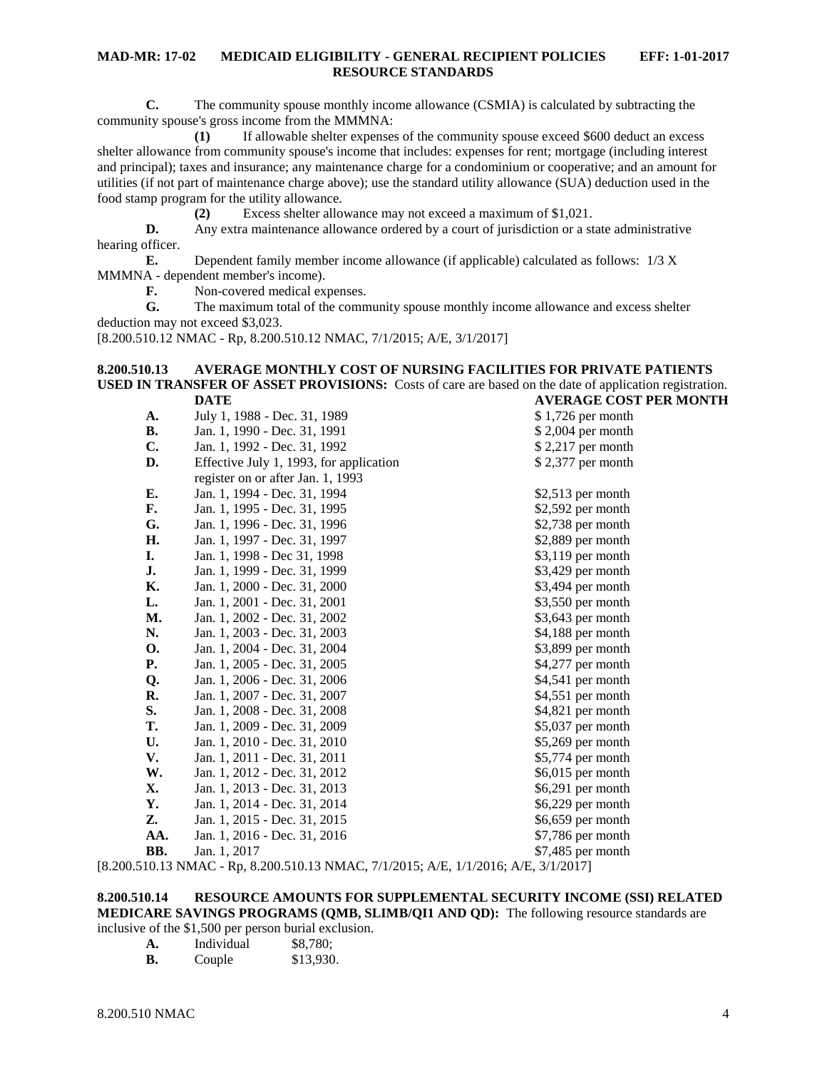**C.** The community spouse monthly income allowance (CSMIA) is calculated by subtracting the community spouse's gross income from the MMMNA:

**(1)** If allowable shelter expenses of the community spouse exceed \$600 deduct an excess shelter allowance from community spouse's income that includes: expenses for rent; mortgage (including interest and principal); taxes and insurance; any maintenance charge for a condominium or cooperative; and an amount for utilities (if not part of maintenance charge above); use the standard utility allowance (SUA) deduction used in the food stamp program for the utility allowance.

**(2)** Excess shelter allowance may not exceed a maximum of \$1,021.

**D.** Any extra maintenance allowance ordered by a court of jurisdiction or a state administrative hearing officer.

**E.** Dependent family member income allowance (if applicable) calculated as follows: 1/3 X MMMNA - dependent member's income).

**F.** Non-covered medical expenses.

**G.** The maximum total of the community spouse monthly income allowance and excess shelter deduction may not exceed \$3,023.

[8.200.510.12 NMAC - Rp, 8.200.510.12 NMAC, 7/1/2015; A/E, 3/1/2017]

#### <span id="page-3-0"></span>**8.200.510.13 AVERAGE MONTHLY COST OF NURSING FACILITIES FOR PRIVATE PATIENTS USED IN TRANSFER OF ASSET PROVISIONS:** Costs of care are based on the date of application registration. **DATE AVERAGE COST PER MONTH**

| A.                       | July 1, 1988 - Dec. 31, 1989            | $$1,726$ per month                 |
|--------------------------|-----------------------------------------|------------------------------------|
| <b>B.</b>                | Jan. 1, 1990 - Dec. 31, 1991            | \$2,004 per month                  |
| C.                       | Jan. 1, 1992 - Dec. 31, 1992            | $$2,217$ per month                 |
| D.                       | Effective July 1, 1993, for application | \$2,377 per month                  |
|                          | register on or after Jan. 1, 1993       |                                    |
| Е.                       | Jan. 1, 1994 - Dec. 31, 1994            | $$2,513$ per month                 |
| F.                       | Jan. 1, 1995 - Dec. 31, 1995            | \$2,592 per month                  |
| G.                       | Jan. 1, 1996 - Dec. 31, 1996            | $$2,738$ per month                 |
| Η.                       | Jan. 1, 1997 - Dec. 31, 1997            | \$2,889 per month                  |
| I.                       | Jan. 1, 1998 - Dec 31, 1998             | $$3,119$ per month                 |
| J.                       | Jan. 1, 1999 - Dec. 31, 1999            | \$3,429 per month                  |
| Κ.                       | Jan. 1, 2000 - Dec. 31, 2000            | \$3,494 per month                  |
| L.                       | Jan. 1, 2001 - Dec. 31, 2001            | \$3,550 per month                  |
| M.                       | Jan. 1, 2002 - Dec. 31, 2002            | \$3,643 per month                  |
| N.                       | Jan. 1, 2003 - Dec. 31, 2003            | \$4,188 per month                  |
| 0.                       | Jan. 1, 2004 - Dec. 31, 2004            | \$3,899 per month                  |
| <b>P.</b>                | Jan. 1, 2005 - Dec. 31, 2005            | \$4,277 per month                  |
| Q.                       | Jan. 1, 2006 - Dec. 31, 2006            | \$4,541 per month                  |
| R.                       | Jan. 1, 2007 - Dec. 31, 2007            | $$4,551$ per month                 |
| S.                       | Jan. 1, 2008 - Dec. 31, 2008            | \$4,821 per month                  |
| T.                       | Jan. 1, 2009 - Dec. 31, 2009            | \$5,037 per month                  |
| U.                       | Jan. 1, 2010 - Dec. 31, 2010            | \$5,269 per month                  |
| V.                       | Jan. 1, 2011 - Dec. 31, 2011            | \$5,774 per month                  |
| W.                       | Jan. 1, 2012 - Dec. 31, 2012            | \$6,015 per month                  |
| X.                       | Jan. 1, 2013 - Dec. 31, 2013            | \$6,291 per month                  |
| Υ.                       | Jan. 1, 2014 - Dec. 31, 2014            | \$6,229 per month                  |
| Z.                       | Jan. 1, 2015 - Dec. 31, 2015            | \$6,659 per month                  |
| AA.                      | Jan. 1, 2016 - Dec. 31, 2016            | \$7,786 per month                  |
| BB.                      | Jan. 1, 2017                            | $$7,485$ per month                 |
| $\sim$ 10 10 10 $\sim$ 0 | $0.200.510.123 B + C = 11.0015 + F$     | 211,0017<br>1/1/0.01<br>$\sqrt{2}$ |

[8.200.510.13 NMAC - Rp, 8.200.510.13 NMAC, 7/1/2015; A/E, 1/1/2016; A/E, 3/1/2017]

### <span id="page-3-1"></span>**8.200.510.14 RESOURCE AMOUNTS FOR SUPPLEMENTAL SECURITY INCOME (SSI) RELATED MEDICARE SAVINGS PROGRAMS (QMB, SLIMB/QI1 AND QD):** The following resource standards are

inclusive of the \$1,500 per person burial exclusion.

| A. | Individual | \$8,780;  |
|----|------------|-----------|
| В. | Couple     | \$13,930. |